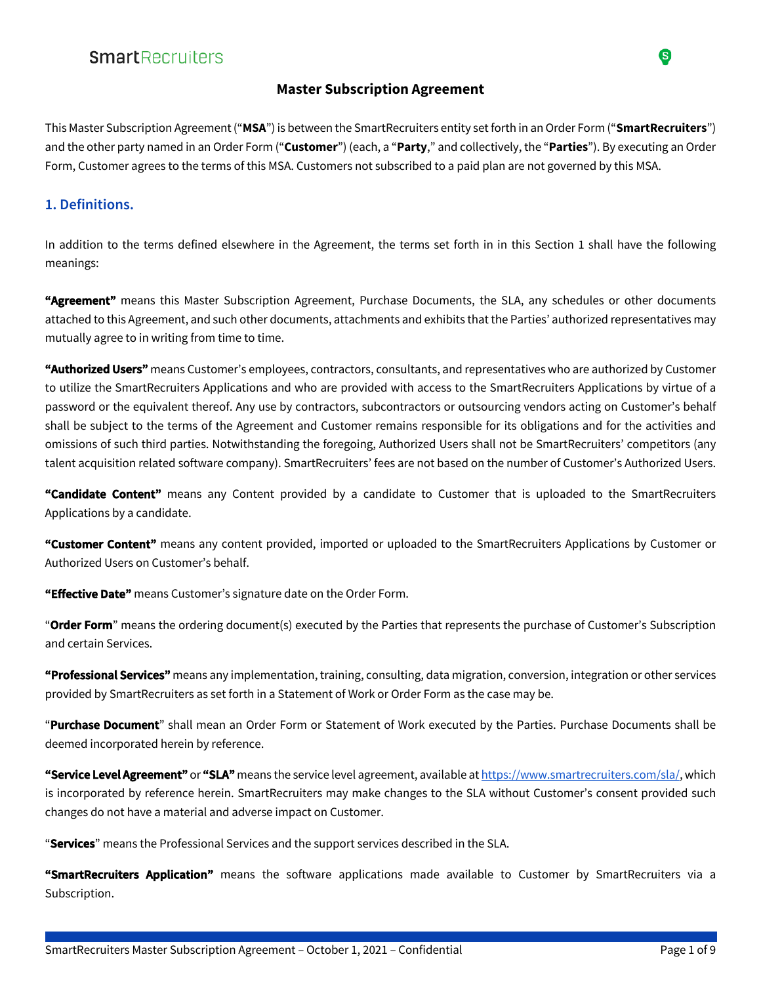#### **Master Subscription Agreement**

This Master Subscription Agreement ("**MSA**") is between the SmartRecruiters entity set forth in an Order Form ("**SmartRecruiters**") and the other party named in an Order Form ("**Customer**") (each, a "**Party**," and collectively, the "**Parties**"). By executing an Order Form, Customer agrees to the terms of this MSA. Customers not subscribed to a paid plan are not governed by this MSA.

### **1. Definitions.**

In addition to the terms defined elsewhere in the Agreement, the terms set forth in in this Section 1 shall have the following meanings:

**"Agreement"** means this Master Subscription Agreement, Purchase Documents, the SLA, any schedules or other documents attached to this Agreement, and such other documents, attachments and exhibits that the Parties' authorized representatives may mutually agree to in writing from time to time.

**"Authorized Users"** means Customer's employees, contractors, consultants, and representatives who are authorized by Customer to utilize the SmartRecruiters Applications and who are provided with access to the SmartRecruiters Applications by virtue of a password or the equivalent thereof. Any use by contractors, subcontractors or outsourcing vendors acting on Customer's behalf shall be subject to the terms of the Agreement and Customer remains responsible for its obligations and for the activities and omissions of such third parties. Notwithstanding the foregoing, Authorized Users shall not be SmartRecruiters' competitors (any talent acquisition related software company). SmartRecruiters' fees are not based on the number of Customer's Authorized Users.

**"Candidate Content"** means any Content provided by a candidate to Customer that is uploaded to the SmartRecruiters Applications by a candidate.

**"Customer Content"** means any content provided, imported or uploaded to the SmartRecruiters Applications by Customer or Authorized Users on Customer's behalf.

**"Effective Date"** means Customer's signature date on the Order Form.

"**Order Form**" means the ordering document(s) executed by the Parties that represents the purchase of Customer's Subscription and certain Services.

**"Professional Services"** means any implementation, training, consulting, data migration, conversion, integration or other services provided by SmartRecruiters as set forth in a Statement of Work or Order Form as the case may be.

"**Purchase Document**" shall mean an Order Form or Statement of Work executed by the Parties. Purchase Documents shall be deemed incorporated herein by reference.

**"Service Level Agreement"** or **"SLA"** means the service level agreement, available at https://www.smartrecruiters.com/sla/, which is incorporated by reference herein. SmartRecruiters may make changes to the SLA without Customer's consent provided such changes do not have a material and adverse impact on Customer.

"**Services**" means the Professional Services and the support services described in the SLA.

**"SmartRecruiters Application"** means the software applications made available to Customer by SmartRecruiters via a Subscription.

S)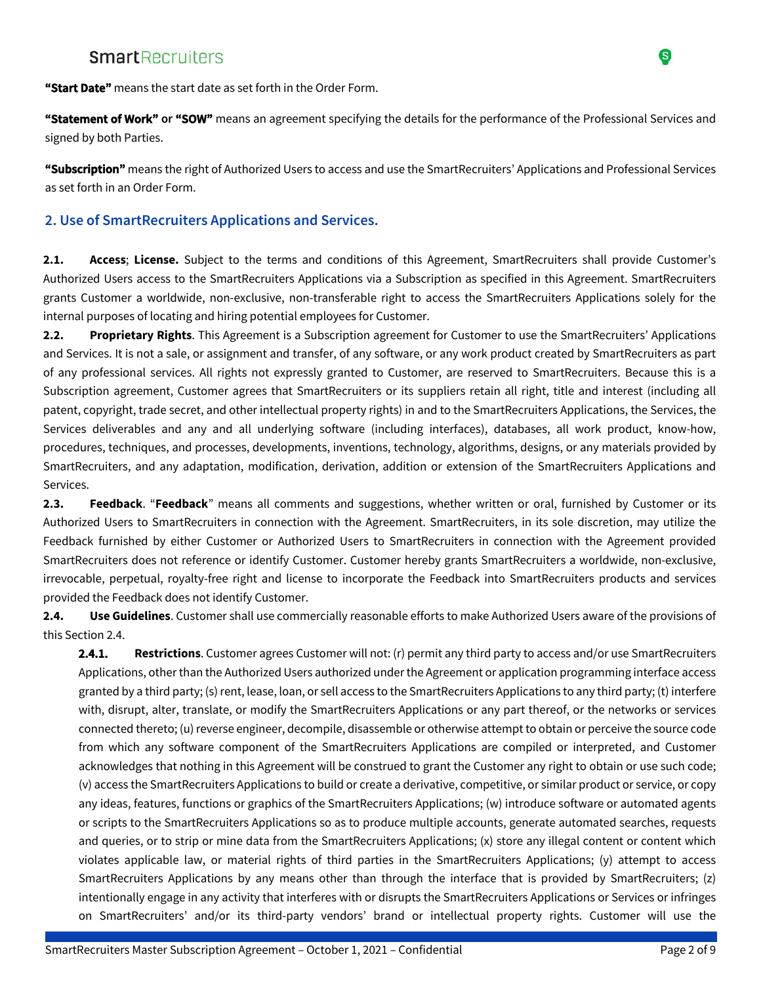

**"Start Date"** means the start date as set forth in the Order Form.

**"Statement of Work" or "SOW"** means an agreement specifying the details for the performance of the Professional Services and signed by both Parties.

**"Subscription"** means the right of Authorized Users to access and use the SmartRecruiters' Applications and Professional Services as set forth in an Order Form.

#### **2. Use of SmartRecruiters Applications and Services.**

**2.1. Access**; **License.** Subject to the terms and conditions of this Agreement, SmartRecruiters shall provide Customer's Authorized Users access to the SmartRecruiters Applications via a Subscription as specified in this Agreement. SmartRecruiters grants Customer a worldwide, non-exclusive, non-transferable right to access the SmartRecruiters Applications solely for the internal purposes of locating and hiring potential employees for Customer.

**2.2. Proprietary Rights**. This Agreement is a Subscription agreement for Customer to use the SmartRecruiters' Applications and Services. It is not a sale, or assignment and transfer, of any software, or any work product created by SmartRecruiters as part of any professional services. All rights not expressly granted to Customer, are reserved to SmartRecruiters. Because this is a Subscription agreement, Customer agrees that SmartRecruiters or its suppliers retain all right, title and interest (including all patent, copyright, trade secret, and other intellectual property rights) in and to the SmartRecruiters Applications, the Services, the Services deliverables and any and all underlying software (including interfaces), databases, all work product, know-how, procedures, techniques, and processes, developments, inventions, technology, algorithms, designs, or any materials provided by SmartRecruiters, and any adaptation, modification, derivation, addition or extension of the SmartRecruiters Applications and Services.

**2.3. Feedback**. "**Feedback**" means all comments and suggestions, whether written or oral, furnished by Customer or its Authorized Users to SmartRecruiters in connection with the Agreement. SmartRecruiters, in its sole discretion, may utilize the Feedback furnished by either Customer or Authorized Users to SmartRecruiters in connection with the Agreement provided SmartRecruiters does not reference or identify Customer. Customer hereby grants SmartRecruiters a worldwide, non-exclusive, irrevocable, perpetual, royalty-free right and license to incorporate the Feedback into SmartRecruiters products and services provided the Feedback does not identify Customer.

**2.4. Use Guidelines**. Customer shall use commercially reasonable efforts to make Authorized Users aware of the provisions of this Section 2.4.

**2.4.1. Restrictions**. Customer agrees Customer will not: (r) permit any third party to access and/or use SmartRecruiters Applications, other than the Authorized Users authorized under the Agreement or application programming interface access granted by a third party; (s) rent, lease, loan, or sell access to the SmartRecruiters Applications to any third party; (t) interfere with, disrupt, alter, translate, or modify the SmartRecruiters Applications or any part thereof, or the networks or services connected thereto; (u) reverse engineer, decompile, disassemble or otherwise attempt to obtain or perceive the source code from which any software component of the SmartRecruiters Applications are compiled or interpreted, and Customer acknowledges that nothing in this Agreement will be construed to grant the Customer any right to obtain or use such code; (v) access the SmartRecruiters Applications to build or create a derivative, competitive, or similar product or service, or copy any ideas, features, functions or graphics of the SmartRecruiters Applications; (w) introduce software or automated agents or scripts to the SmartRecruiters Applications so as to produce multiple accounts, generate automated searches, requests and queries, or to strip or mine data from the SmartRecruiters Applications; (x) store any illegal content or content which violates applicable law, or material rights of third parties in the SmartRecruiters Applications; (y) attempt to access SmartRecruiters Applications by any means other than through the interface that is provided by SmartRecruiters; (z) intentionally engage in any activity that interferes with or disrupts the SmartRecruiters Applications or Services or infringes on SmartRecruiters' and/or its third-party vendors' brand or intellectual property rights. Customer will use the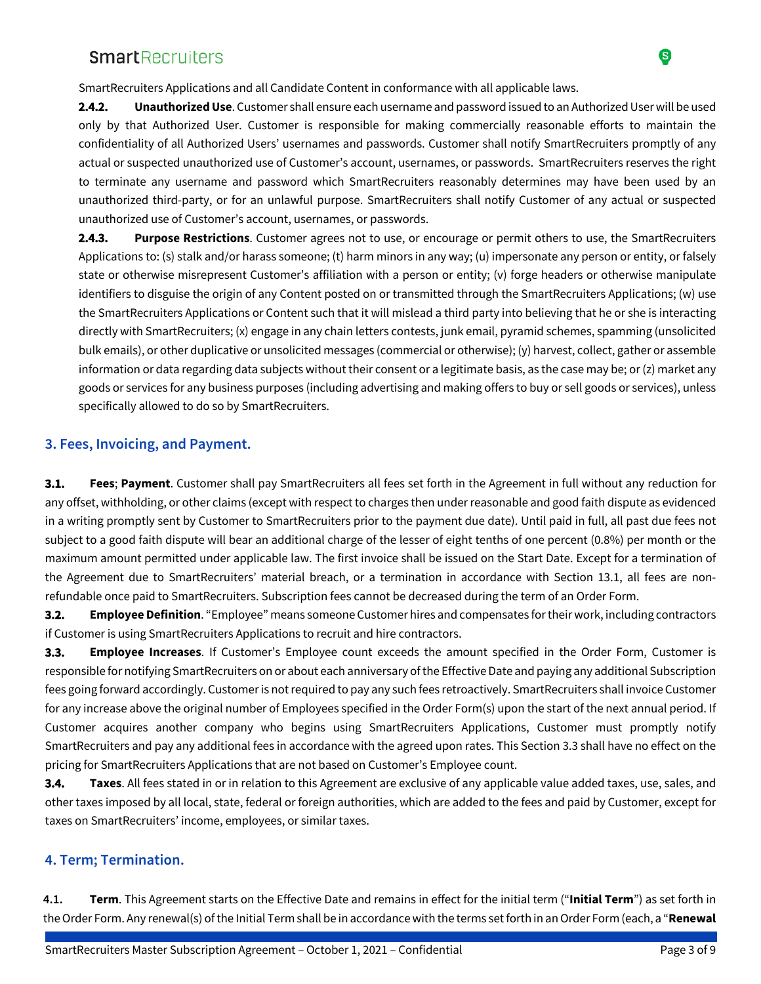SmartRecruiters Applications and all Candidate Content in conformance with all applicable laws.

**2.4.2. Unauthorized Use**. Customer shall ensure each username and password issued to an Authorized User will be used only by that Authorized User. Customer is responsible for making commercially reasonable efforts to maintain the confidentiality of all Authorized Users' usernames and passwords. Customer shall notify SmartRecruiters promptly of any actual or suspected unauthorized use of Customer's account, usernames, or passwords. SmartRecruiters reserves the right to terminate any username and password which SmartRecruiters reasonably determines may have been used by an unauthorized third-party, or for an unlawful purpose. SmartRecruiters shall notify Customer of any actual or suspected unauthorized use of Customer's account, usernames, or passwords.

**2.4.3. Purpose Restrictions**. Customer agrees not to use, or encourage or permit others to use, the SmartRecruiters Applications to: (s) stalk and/or harass someone; (t) harm minors in any way; (u) impersonate any person or entity, or falsely state or otherwise misrepresent Customer's affiliation with a person or entity; (v) forge headers or otherwise manipulate identifiers to disguise the origin of any Content posted on or transmitted through the SmartRecruiters Applications; (w) use the SmartRecruiters Applications or Content such that it will mislead a third party into believing that he or she is interacting directly with SmartRecruiters; (x) engage in any chain letters contests, junk email, pyramid schemes, spamming (unsolicited bulk emails), or other duplicative or unsolicited messages (commercial or otherwise); (y) harvest, collect, gather or assemble information or data regarding data subjects without their consent or a legitimate basis, as the case may be; or (z) market any goods or services for any business purposes (including advertising and making offers to buy or sell goods or services), unless specifically allowed to do so by SmartRecruiters.

#### **3. Fees, Invoicing, and Payment.**

**3.1. Fees**; **Payment**. Customer shall pay SmartRecruiters all fees set forth in the Agreement in full without any reduction for any offset, withholding, or other claims (except with respect to charges then under reasonable and good faith dispute as evidenced in a writing promptly sent by Customer to SmartRecruiters prior to the payment due date). Until paid in full, all past due fees not subject to a good faith dispute will bear an additional charge of the lesser of eight tenths of one percent (0.8%) per month or the maximum amount permitted under applicable law. The first invoice shall be issued on the Start Date. Except for a termination of the Agreement due to SmartRecruiters' material breach, or a termination in accordance with Section 13.1, all fees are nonrefundable once paid to SmartRecruiters. Subscription fees cannot be decreased during the term of an Order Form.

**3.2. Employee Definition**. "Employee" means someone Customer hires and compensates for their work, including contractors if Customer is using SmartRecruiters Applications to recruit and hire contractors.

**3.3. Employee Increases**. If Customer's Employee count exceeds the amount specified in the Order Form, Customer is responsible for notifying SmartRecruiters on or about each anniversary of the Effective Date and paying any additional Subscription fees going forward accordingly. Customer is not required to pay any such fees retroactively. SmartRecruiters shall invoice Customer for any increase above the original number of Employees specified in the Order Form(s) upon the start of the next annual period. If Customer acquires another company who begins using SmartRecruiters Applications, Customer must promptly notify SmartRecruiters and pay any additional fees in accordance with the agreed upon rates. This Section 3.3 shall have no effect on the pricing for SmartRecruiters Applications that are not based on Customer's Employee count.

**3.4. Taxes**. All fees stated in or in relation to this Agreement are exclusive of any applicable value added taxes, use, sales, and other taxes imposed by all local, state, federal or foreign authorities, which are added to the fees and paid by Customer, except for taxes on SmartRecruiters' income, employees, or similar taxes.

### **4. Term; Termination.**

**4.1. Term**. This Agreement starts on the Effective Date and remains in effect for the initial term ("**Initial Term**") as set forth in the Order Form. Any renewal(s) of the Initial Term shall be in accordance with the terms set forth in an Order Form (each, a "**Renewal** 

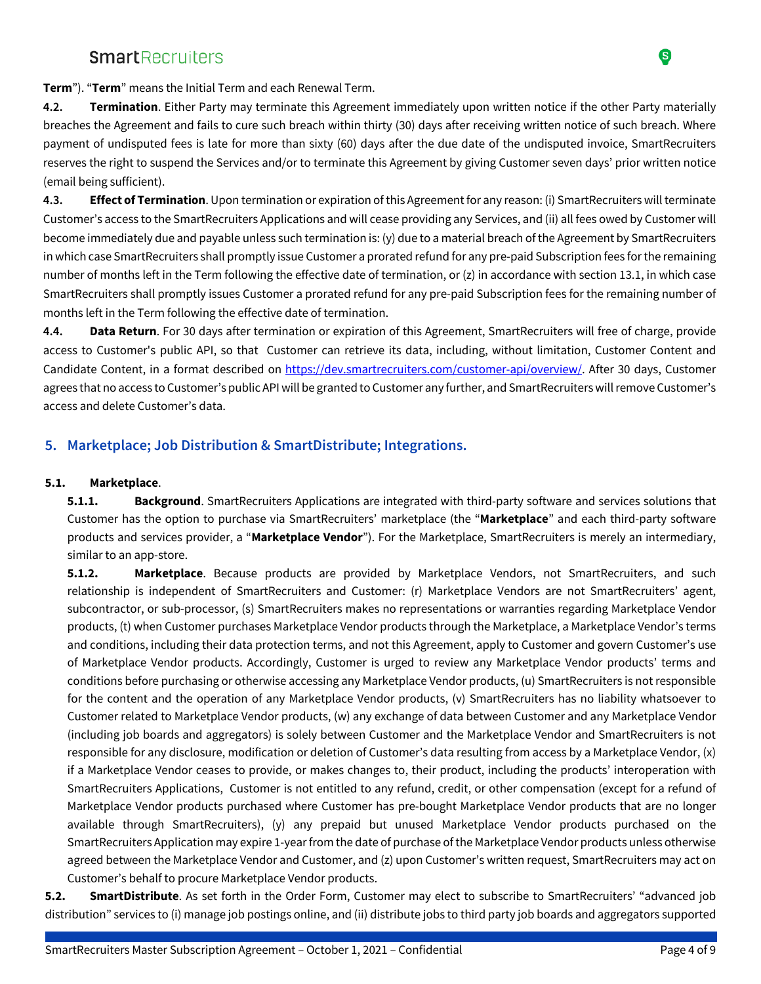

**Term**"). "**Term**" means the Initial Term and each Renewal Term.

**4.2. Termination**. Either Party may terminate this Agreement immediately upon written notice if the other Party materially breaches the Agreement and fails to cure such breach within thirty (30) days after receiving written notice of such breach. Where payment of undisputed fees is late for more than sixty (60) days after the due date of the undisputed invoice, SmartRecruiters reserves the right to suspend the Services and/or to terminate this Agreement by giving Customer seven days' prior written notice (email being sufficient).

**4.3. Effect of Termination**. Upon termination or expiration of this Agreement for any reason: (i) SmartRecruiters will terminate Customer's access to the SmartRecruiters Applications and will cease providing any Services, and (ii) all fees owed by Customer will become immediately due and payable unless such termination is: (y) due to a material breach of the Agreement by SmartRecruiters in which case SmartRecruiters shall promptly issue Customer a prorated refund for any pre-paid Subscription fees for the remaining number of months left in the Term following the effective date of termination, or (z) in accordance with section 13.1, in which case SmartRecruiters shall promptly issues Customer a prorated refund for any pre-paid Subscription fees for the remaining number of months left in the Term following the effective date of termination.

**4.4. Data Return**. For 30 days after termination or expiration of this Agreement, SmartRecruiters will free of charge, provide access to Customer's public API, so that Customer can retrieve its data, including, without limitation, Customer Content and Candidate Content, in a format described on https://dev.smartrecruiters.com/customer-api/overview/. After 30 days, Customer agrees that no access to Customer's public API will be granted to Customer any further, and SmartRecruiters will remove Customer's access and delete Customer's data.

#### **5. Marketplace; Job Distribution & SmartDistribute; Integrations.**

#### **5.1. Marketplace**.

**5.1.1. Background**. SmartRecruiters Applications are integrated with third-party software and services solutions that Customer has the option to purchase via SmartRecruiters' marketplace (the "**Marketplace**" and each third-party software products and services provider, a "**Marketplace Vendor**"). For the Marketplace, SmartRecruiters is merely an intermediary, similar to an app-store.

**5.1.2. Marketplace**. Because products are provided by Marketplace Vendors, not SmartRecruiters, and such relationship is independent of SmartRecruiters and Customer: (r) Marketplace Vendors are not SmartRecruiters' agent, subcontractor, or sub-processor, (s) SmartRecruiters makes no representations or warranties regarding Marketplace Vendor products, (t) when Customer purchases Marketplace Vendor products through the Marketplace, a Marketplace Vendor's terms and conditions, including their data protection terms, and not this Agreement, apply to Customer and govern Customer's use of Marketplace Vendor products. Accordingly, Customer is urged to review any Marketplace Vendor products' terms and conditions before purchasing or otherwise accessing any Marketplace Vendor products, (u) SmartRecruiters is not responsible for the content and the operation of any Marketplace Vendor products, (v) SmartRecruiters has no liability whatsoever to Customer related to Marketplace Vendor products, (w) any exchange of data between Customer and any Marketplace Vendor (including job boards and aggregators) is solely between Customer and the Marketplace Vendor and SmartRecruiters is not responsible for any disclosure, modification or deletion of Customer's data resulting from access by a Marketplace Vendor, (x) if a Marketplace Vendor ceases to provide, or makes changes to, their product, including the products' interoperation with SmartRecruiters Applications, Customer is not entitled to any refund, credit, or other compensation (except for a refund of Marketplace Vendor products purchased where Customer has pre-bought Marketplace Vendor products that are no longer available through SmartRecruiters), (y) any prepaid but unused Marketplace Vendor products purchased on the SmartRecruiters Application may expire 1-year from the date of purchase of the Marketplace Vendor products unless otherwise agreed between the Marketplace Vendor and Customer, and (z) upon Customer's written request, SmartRecruiters may act on Customer's behalf to procure Marketplace Vendor products.

**5.2. SmartDistribute**. As set forth in the Order Form, Customer may elect to subscribe to SmartRecruiters' "advanced job distribution" services to (i) manage job postings online, and (ii) distribute jobs to third party job boards and aggregators supported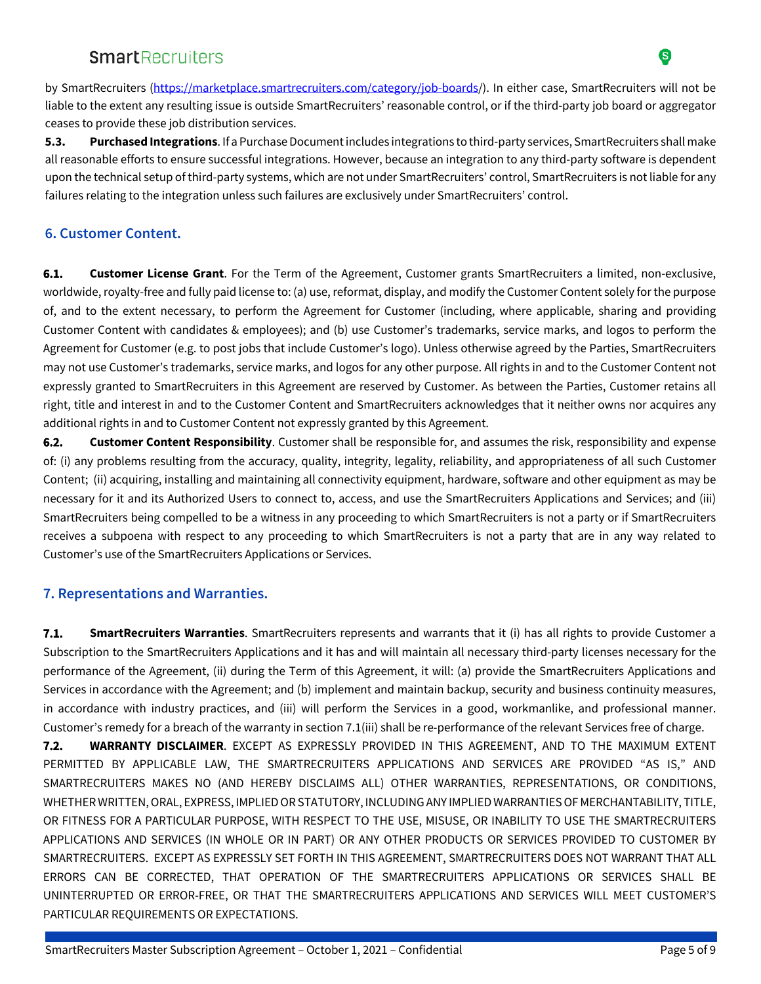by SmartRecruiters (https://marketplace.smartrecruiters.com/category/job-boards/). In either case, SmartRecruiters will not be liable to the extent any resulting issue is outside SmartRecruiters' reasonable control, or if the third-party job board or aggregator ceases to provide these job distribution services.

**5.3. Purchased Integrations**. If a Purchase Document includes integrations to third-party services, SmartRecruiters shall make all reasonable efforts to ensure successful integrations. However, because an integration to any third-party software is dependent upon the technical setup of third-party systems, which are not under SmartRecruiters' control, SmartRecruiters is not liable for any failures relating to the integration unless such failures are exclusively under SmartRecruiters' control.

### **6. Customer Content.**

**6.1. Customer License Grant**. For the Term of the Agreement, Customer grants SmartRecruiters a limited, non-exclusive, worldwide, royalty-free and fully paid license to: (a) use, reformat, display, and modify the Customer Content solely for the purpose of, and to the extent necessary, to perform the Agreement for Customer (including, where applicable, sharing and providing Customer Content with candidates & employees); and (b) use Customer's trademarks, service marks, and logos to perform the Agreement for Customer (e.g. to post jobs that include Customer's logo). Unless otherwise agreed by the Parties, SmartRecruiters may not use Customer's trademarks, service marks, and logos for any other purpose. All rights in and to the Customer Content not expressly granted to SmartRecruiters in this Agreement are reserved by Customer. As between the Parties, Customer retains all right, title and interest in and to the Customer Content and SmartRecruiters acknowledges that it neither owns nor acquires any additional rights in and to Customer Content not expressly granted by this Agreement.

**6.2. Customer Content Responsibility**. Customer shall be responsible for, and assumes the risk, responsibility and expense of: (i) any problems resulting from the accuracy, quality, integrity, legality, reliability, and appropriateness of all such Customer Content; (ii) acquiring, installing and maintaining all connectivity equipment, hardware, software and other equipment as may be necessary for it and its Authorized Users to connect to, access, and use the SmartRecruiters Applications and Services; and (iii) SmartRecruiters being compelled to be a witness in any proceeding to which SmartRecruiters is not a party or if SmartRecruiters receives a subpoena with respect to any proceeding to which SmartRecruiters is not a party that are in any way related to Customer's use of the SmartRecruiters Applications or Services.

### **7. Representations and Warranties.**

**7.1. SmartRecruiters Warranties**. SmartRecruiters represents and warrants that it (i) has all rights to provide Customer a Subscription to the SmartRecruiters Applications and it has and will maintain all necessary third-party licenses necessary for the performance of the Agreement, (ii) during the Term of this Agreement, it will: (a) provide the SmartRecruiters Applications and Services in accordance with the Agreement; and (b) implement and maintain backup, security and business continuity measures, in accordance with industry practices, and (iii) will perform the Services in a good, workmanlike, and professional manner. Customer's remedy for a breach of the warranty in section 7.1(iii) shall be re-performance of the relevant Services free of charge.

**7.2. WARRANTY DISCLAIMER**. EXCEPT AS EXPRESSLY PROVIDED IN THIS AGREEMENT, AND TO THE MAXIMUM EXTENT PERMITTED BY APPLICABLE LAW, THE SMARTRECRUITERS APPLICATIONS AND SERVICES ARE PROVIDED "AS IS," AND SMARTRECRUITERS MAKES NO (AND HEREBY DISCLAIMS ALL) OTHER WARRANTIES, REPRESENTATIONS, OR CONDITIONS, WHETHER WRITTEN, ORAL, EXPRESS, IMPLIED OR STATUTORY, INCLUDING ANY IMPLIED WARRANTIES OF MERCHANTABILITY, TITLE, OR FITNESS FOR A PARTICULAR PURPOSE, WITH RESPECT TO THE USE, MISUSE, OR INABILITY TO USE THE SMARTRECRUITERS APPLICATIONS AND SERVICES (IN WHOLE OR IN PART) OR ANY OTHER PRODUCTS OR SERVICES PROVIDED TO CUSTOMER BY SMARTRECRUITERS. EXCEPT AS EXPRESSLY SET FORTH IN THIS AGREEMENT, SMARTRECRUITERS DOES NOT WARRANT THAT ALL ERRORS CAN BE CORRECTED, THAT OPERATION OF THE SMARTRECRUITERS APPLICATIONS OR SERVICES SHALL BE UNINTERRUPTED OR ERROR-FREE, OR THAT THE SMARTRECRUITERS APPLICATIONS AND SERVICES WILL MEET CUSTOMER'S PARTICULAR REQUIREMENTS OR EXPECTATIONS.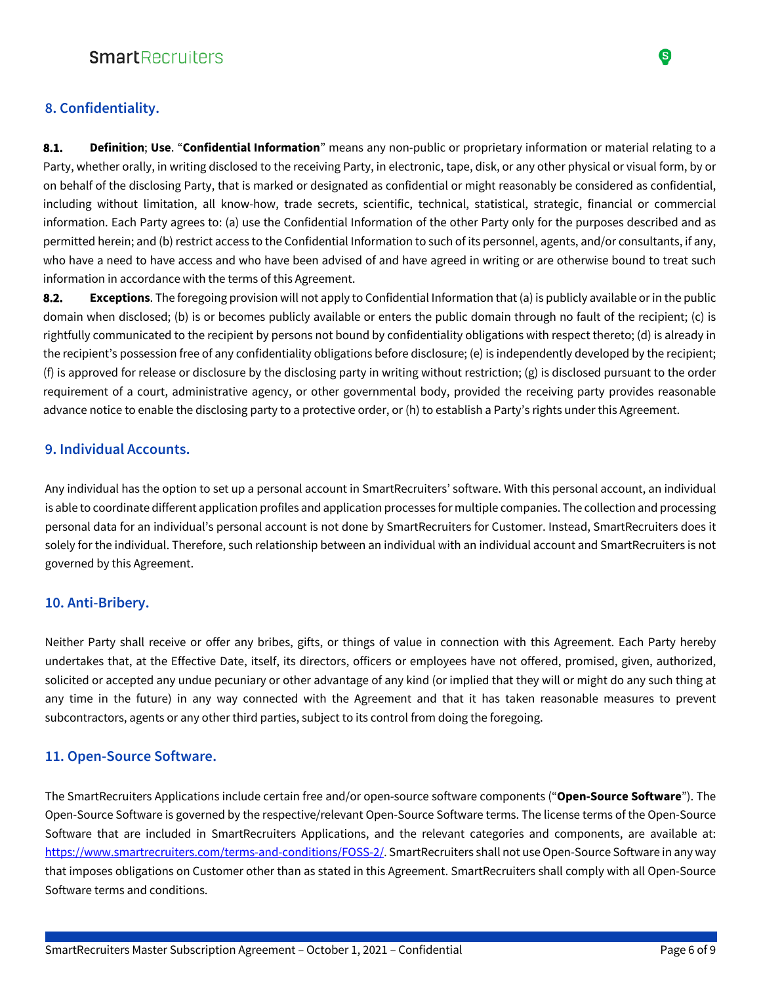#### **8. Confidentiality.**

**8.1. Definition**; **Use**. "**Confidential Information**" means any non-public or proprietary information or material relating to a Party, whether orally, in writing disclosed to the receiving Party, in electronic, tape, disk, or any other physical or visual form, by or on behalf of the disclosing Party, that is marked or designated as confidential or might reasonably be considered as confidential, including without limitation, all know-how, trade secrets, scientific, technical, statistical, strategic, financial or commercial information. Each Party agrees to: (a) use the Confidential Information of the other Party only for the purposes described and as permitted herein; and (b) restrict access to the Confidential Information to such of its personnel, agents, and/or consultants, if any, who have a need to have access and who have been advised of and have agreed in writing or are otherwise bound to treat such information in accordance with the terms of this Agreement.

**8.2. Exceptions**. The foregoing provision will not apply to Confidential Information that (a) is publicly available or in the public domain when disclosed; (b) is or becomes publicly available or enters the public domain through no fault of the recipient; (c) is rightfully communicated to the recipient by persons not bound by confidentiality obligations with respect thereto; (d) is already in the recipient's possession free of any confidentiality obligations before disclosure; (e) is independently developed by the recipient; (f) is approved for release or disclosure by the disclosing party in writing without restriction; (g) is disclosed pursuant to the order requirement of a court, administrative agency, or other governmental body, provided the receiving party provides reasonable advance notice to enable the disclosing party to a protective order, or (h) to establish a Party's rights under this Agreement.

#### **9. Individual Accounts.**

Any individual has the option to set up a personal account in SmartRecruiters' software. With this personal account, an individual is able to coordinate different application profiles and application processes for multiple companies. The collection and processing personal data for an individual's personal account is not done by SmartRecruiters for Customer. Instead, SmartRecruiters does it solely for the individual. Therefore, such relationship between an individual with an individual account and SmartRecruiters is not governed by this Agreement.

#### **10. Anti-Bribery.**

Neither Party shall receive or offer any bribes, gifts, or things of value in connection with this Agreement. Each Party hereby undertakes that, at the Effective Date, itself, its directors, officers or employees have not offered, promised, given, authorized, solicited or accepted any undue pecuniary or other advantage of any kind (or implied that they will or might do any such thing at any time in the future) in any way connected with the Agreement and that it has taken reasonable measures to prevent subcontractors, agents or any other third parties, subject to its control from doing the foregoing.

#### **11. Open-Source Software.**

The SmartRecruiters Applications include certain free and/or open-source software components ("**Open-Source Software**"). The Open-Source Software is governed by the respective/relevant Open-Source Software terms. The license terms of the Open-Source Software that are included in SmartRecruiters Applications, and the relevant categories and components, are available at: https://www.smartrecruiters.com/terms-and-conditions/FOSS-2/. SmartRecruiters shall not use Open-Source Software in any way that imposes obligations on Customer other than as stated in this Agreement. SmartRecruiters shall comply with all Open-Source Software terms and conditions.

S)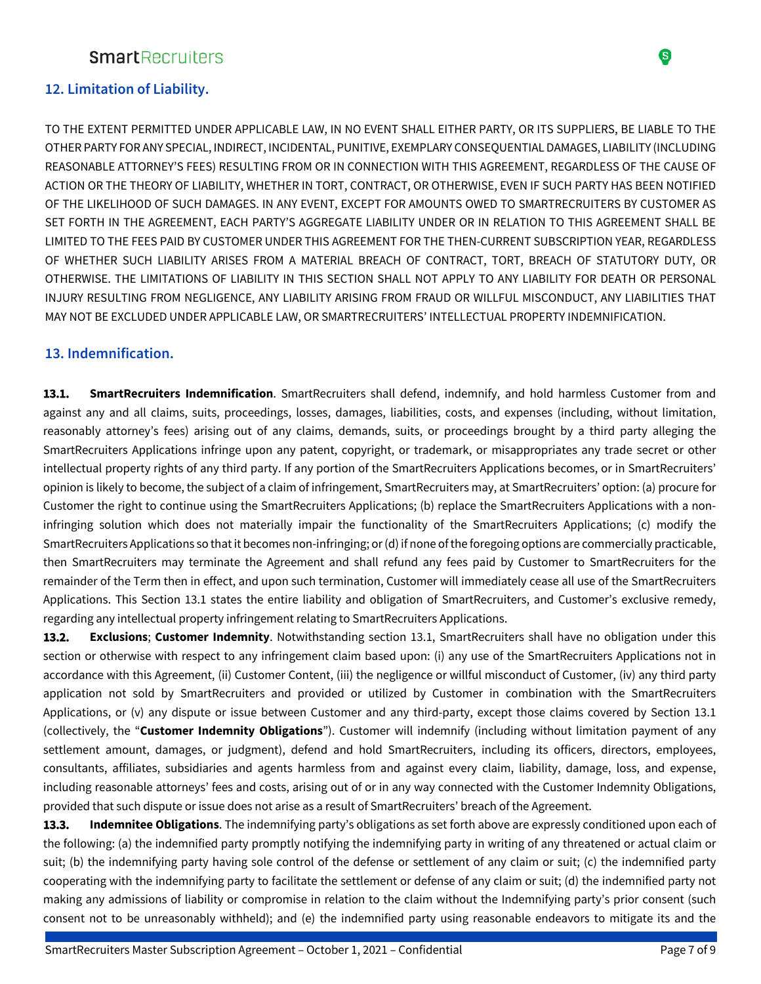### **12. Limitation of Liability.**

TO THE EXTENT PERMITTED UNDER APPLICABLE LAW, IN NO EVENT SHALL EITHER PARTY, OR ITS SUPPLIERS, BE LIABLE TO THE OTHER PARTY FOR ANY SPECIAL, INDIRECT, INCIDENTAL, PUNITIVE, EXEMPLARY CONSEQUENTIAL DAMAGES, LIABILITY (INCLUDING REASONABLE ATTORNEY'S FEES) RESULTING FROM OR IN CONNECTION WITH THIS AGREEMENT, REGARDLESS OF THE CAUSE OF ACTION OR THE THEORY OF LIABILITY, WHETHER IN TORT, CONTRACT, OR OTHERWISE, EVEN IF SUCH PARTY HAS BEEN NOTIFIED OF THE LIKELIHOOD OF SUCH DAMAGES. IN ANY EVENT, EXCEPT FOR AMOUNTS OWED TO SMARTRECRUITERS BY CUSTOMER AS SET FORTH IN THE AGREEMENT, EACH PARTY'S AGGREGATE LIABILITY UNDER OR IN RELATION TO THIS AGREEMENT SHALL BE LIMITED TO THE FEES PAID BY CUSTOMER UNDER THIS AGREEMENT FOR THE THEN-CURRENT SUBSCRIPTION YEAR, REGARDLESS OF WHETHER SUCH LIABILITY ARISES FROM A MATERIAL BREACH OF CONTRACT, TORT, BREACH OF STATUTORY DUTY, OR OTHERWISE. THE LIMITATIONS OF LIABILITY IN THIS SECTION SHALL NOT APPLY TO ANY LIABILITY FOR DEATH OR PERSONAL INJURY RESULTING FROM NEGLIGENCE, ANY LIABILITY ARISING FROM FRAUD OR WILLFUL MISCONDUCT, ANY LIABILITIES THAT MAY NOT BE EXCLUDED UNDER APPLICABLE LAW, OR SMARTRECRUITERS' INTELLECTUAL PROPERTY INDEMNIFICATION.

#### **13. Indemnification.**

**13.1. SmartRecruiters Indemnification**. SmartRecruiters shall defend, indemnify, and hold harmless Customer from and against any and all claims, suits, proceedings, losses, damages, liabilities, costs, and expenses (including, without limitation, reasonably attorney's fees) arising out of any claims, demands, suits, or proceedings brought by a third party alleging the SmartRecruiters Applications infringe upon any patent, copyright, or trademark, or misappropriates any trade secret or other intellectual property rights of any third party. If any portion of the SmartRecruiters Applications becomes, or in SmartRecruiters' opinion is likely to become, the subject of a claim of infringement, SmartRecruiters may, at SmartRecruiters' option: (a) procure for Customer the right to continue using the SmartRecruiters Applications; (b) replace the SmartRecruiters Applications with a noninfringing solution which does not materially impair the functionality of the SmartRecruiters Applications; (c) modify the SmartRecruiters Applications so that it becomes non-infringing; or (d) if none of the foregoing options are commercially practicable, then SmartRecruiters may terminate the Agreement and shall refund any fees paid by Customer to SmartRecruiters for the remainder of the Term then in effect, and upon such termination, Customer will immediately cease all use of the SmartRecruiters Applications. This Section 13.1 states the entire liability and obligation of SmartRecruiters, and Customer's exclusive remedy, regarding any intellectual property infringement relating to SmartRecruiters Applications.

**13.2. Exclusions**; **Customer Indemnity**. Notwithstanding section 13.1, SmartRecruiters shall have no obligation under this section or otherwise with respect to any infringement claim based upon: (i) any use of the SmartRecruiters Applications not in accordance with this Agreement, (ii) Customer Content, (iii) the negligence or willful misconduct of Customer, (iv) any third party application not sold by SmartRecruiters and provided or utilized by Customer in combination with the SmartRecruiters Applications, or (v) any dispute or issue between Customer and any third-party, except those claims covered by Section 13.1 (collectively, the "**Customer Indemnity Obligations**"). Customer will indemnify (including without limitation payment of any settlement amount, damages, or judgment), defend and hold SmartRecruiters, including its officers, directors, employees, consultants, affiliates, subsidiaries and agents harmless from and against every claim, liability, damage, loss, and expense, including reasonable attorneys' fees and costs, arising out of or in any way connected with the Customer Indemnity Obligations, provided that such dispute or issue does not arise as a result of SmartRecruiters' breach of the Agreement.

**13.3. Indemnitee Obligations**. The indemnifying party's obligations as set forth above are expressly conditioned upon each of the following: (a) the indemnified party promptly notifying the indemnifying party in writing of any threatened or actual claim or suit; (b) the indemnifying party having sole control of the defense or settlement of any claim or suit; (c) the indemnified party cooperating with the indemnifying party to facilitate the settlement or defense of any claim or suit; (d) the indemnified party not making any admissions of liability or compromise in relation to the claim without the Indemnifying party's prior consent (such consent not to be unreasonably withheld); and (e) the indemnified party using reasonable endeavors to mitigate its and the

❸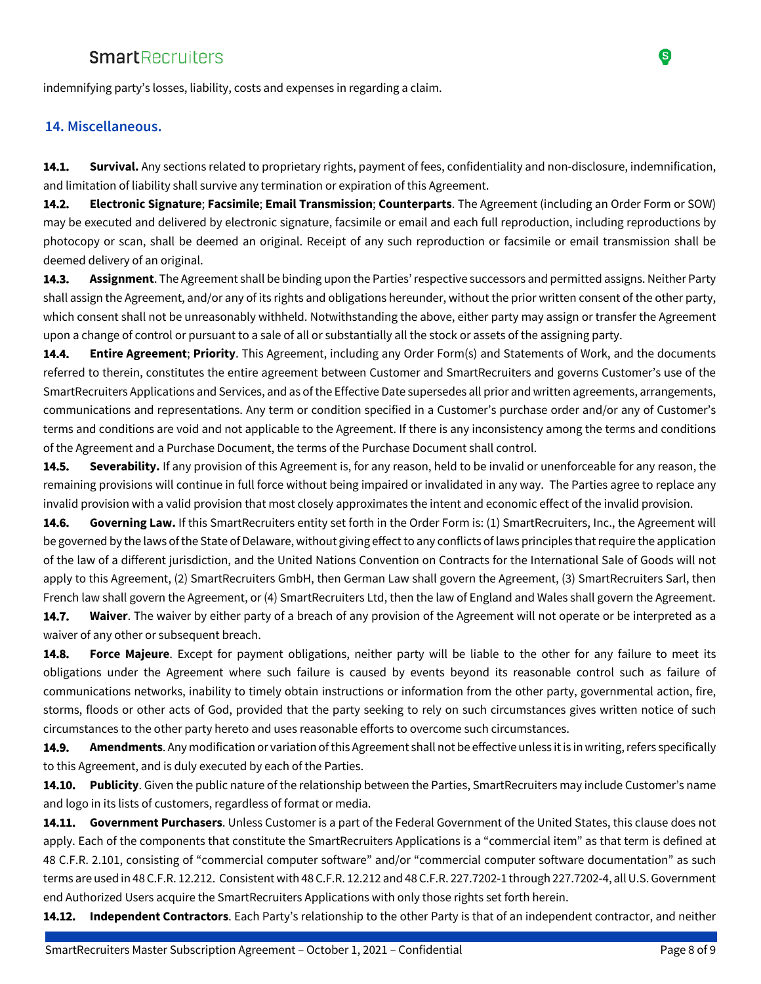indemnifying party's losses, liability, costs and expenses in regarding a claim.

#### **14. Miscellaneous.**

**14.1. Survival.** Any sections related to proprietary rights, payment of fees, confidentiality and non-disclosure, indemnification, and limitation of liability shall survive any termination or expiration of this Agreement.

**14.2. Electronic Signature**; **Facsimile**; **Email Transmission**; **Counterparts**. The Agreement (including an Order Form or SOW) may be executed and delivered by electronic signature, facsimile or email and each full reproduction, including reproductions by photocopy or scan, shall be deemed an original. Receipt of any such reproduction or facsimile or email transmission shall be deemed delivery of an original.

**14.3. Assignment**. The Agreement shall be binding upon the Parties' respective successors and permitted assigns. Neither Party shall assign the Agreement, and/or any of its rights and obligations hereunder, without the prior written consent of the other party, which consent shall not be unreasonably withheld. Notwithstanding the above, either party may assign or transfer the Agreement upon a change of control or pursuant to a sale of all or substantially all the stock or assets of the assigning party.

**14.4. Entire Agreement**; **Priority**. This Agreement, including any Order Form(s) and Statements of Work, and the documents referred to therein, constitutes the entire agreement between Customer and SmartRecruiters and governs Customer's use of the SmartRecruiters Applications and Services, and as of the Effective Date supersedes all prior and written agreements, arrangements, communications and representations. Any term or condition specified in a Customer's purchase order and/or any of Customer's terms and conditions are void and not applicable to the Agreement. If there is any inconsistency among the terms and conditions of the Agreement and a Purchase Document, the terms of the Purchase Document shall control.

**14.5. Severability.** If any provision of this Agreement is, for any reason, held to be invalid or unenforceable for any reason, the remaining provisions will continue in full force without being impaired or invalidated in any way. The Parties agree to replace any invalid provision with a valid provision that most closely approximates the intent and economic effect of the invalid provision.

**14.6. Governing Law.** If this SmartRecruiters entity set forth in the Order Form is: (1) SmartRecruiters, Inc., the Agreement will be governed by the laws of the State of Delaware, without giving effect to any conflicts of laws principles that require the application of the law of a different jurisdiction, and the United Nations Convention on Contracts for the International Sale of Goods will not apply to this Agreement, (2) SmartRecruiters GmbH, then German Law shall govern the Agreement, (3) SmartRecruiters Sarl, then French law shall govern the Agreement, or (4) SmartRecruiters Ltd, then the law of England and Wales shall govern the Agreement.

**14.7. Waiver**. The waiver by either party of a breach of any provision of the Agreement will not operate or be interpreted as a waiver of any other or subsequent breach.

**14.8. Force Majeure**. Except for payment obligations, neither party will be liable to the other for any failure to meet its obligations under the Agreement where such failure is caused by events beyond its reasonable control such as failure of communications networks, inability to timely obtain instructions or information from the other party, governmental action, fire, storms, floods or other acts of God, provided that the party seeking to rely on such circumstances gives written notice of such circumstances to the other party hereto and uses reasonable efforts to overcome such circumstances.

**14.9. Amendments**. Any modification or variation of this Agreement shall not be effective unless it is in writing, refers specifically to this Agreement, and is duly executed by each of the Parties.

**14.10. Publicity**. Given the public nature of the relationship between the Parties, SmartRecruiters may include Customer's name and logo in its lists of customers, regardless of format or media.

**14.11. Government Purchasers**. Unless Customer is a part of the Federal Government of the United States, this clause does not apply. Each of the components that constitute the SmartRecruiters Applications is a "commercial item" as that term is defined at 48 C.F.R. 2.101, consisting of "commercial computer software" and/or "commercial computer software documentation" as such terms are used in 48 C.F.R. 12.212. Consistent with 48 C.F.R. 12.212 and 48 C.F.R. 227.7202-1 through 227.7202-4, all U.S. Government end Authorized Users acquire the SmartRecruiters Applications with only those rights set forth herein.

**14.12. Independent Contractors**. Each Party's relationship to the other Party is that of an independent contractor, and neither

S)